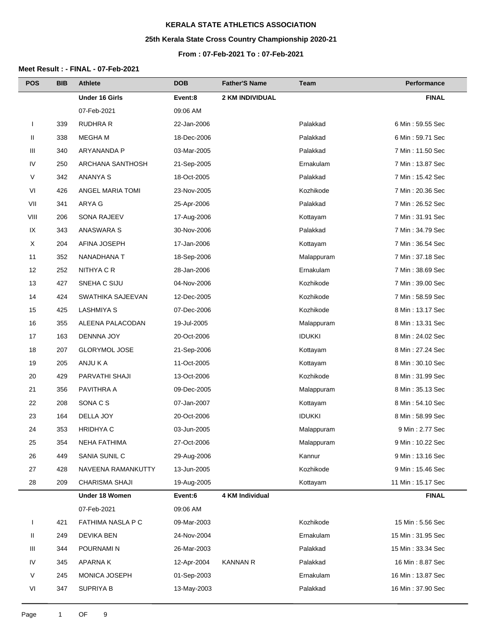# **25th Kerala State Cross Country Championship 2020-21**

#### **From : 07-Feb-2021 To : 07-Feb-2021**

| <b>POS</b>   | <b>BIB</b> | Athlete               | <b>DOB</b>  | <b>Father'S Name</b>   | Team          | Performance       |
|--------------|------------|-----------------------|-------------|------------------------|---------------|-------------------|
|              |            | <b>Under 16 Girls</b> | Event:8     | <b>2 KM INDIVIDUAL</b> |               | <b>FINAL</b>      |
|              |            | 07-Feb-2021           | 09:06 AM    |                        |               |                   |
| $\mathbf{I}$ | 339        | RUDHRA R              | 22-Jan-2006 |                        | Palakkad      | 6 Min: 59.55 Sec  |
| Ш            | 338        | <b>MEGHAM</b>         | 18-Dec-2006 |                        | Palakkad      | 6 Min: 59.71 Sec  |
| Ш            | 340        | ARYANANDA P           | 03-Mar-2005 |                        | Palakkad      | 7 Min: 11.50 Sec  |
| ${\sf IV}$   | 250        | ARCHANA SANTHOSH      | 21-Sep-2005 |                        | Ernakulam     | 7 Min: 13.87 Sec  |
| V            | 342        | <b>ANANYA S</b>       | 18-Oct-2005 |                        | Palakkad      | 7 Min: 15.42 Sec  |
| VI           | 426        | ANGEL MARIA TOMI      | 23-Nov-2005 |                        | Kozhikode     | 7 Min: 20.36 Sec  |
| VII          | 341        | ARYA G                | 25-Apr-2006 |                        | Palakkad      | 7 Min: 26.52 Sec  |
| VIII         | 206        | <b>SONA RAJEEV</b>    | 17-Aug-2006 |                        | Kottayam      | 7 Min: 31.91 Sec  |
| IX           | 343        | ANASWARA S            | 30-Nov-2006 |                        | Palakkad      | 7 Min: 34.79 Sec  |
| X            | 204        | AFINA JOSEPH          | 17-Jan-2006 |                        | Kottayam      | 7 Min: 36.54 Sec  |
| 11           | 352        | NANADHANA T           | 18-Sep-2006 |                        | Malappuram    | 7 Min: 37.18 Sec  |
| 12           | 252        | NITHYA C R            | 28-Jan-2006 |                        | Ernakulam     | 7 Min: 38.69 Sec  |
| 13           | 427        | SNEHA C SIJU          | 04-Nov-2006 |                        | Kozhikode     | 7 Min: 39.00 Sec  |
| 14           | 424        | SWATHIKA SAJEEVAN     | 12-Dec-2005 |                        | Kozhikode     | 7 Min: 58.59 Sec  |
| 15           | 425        | <b>LASHMIYA S</b>     | 07-Dec-2006 |                        | Kozhikode     | 8 Min: 13.17 Sec  |
| 16           | 355        | ALEENA PALACODAN      | 19-Jul-2005 |                        | Malappuram    | 8 Min: 13.31 Sec  |
| 17           | 163        | DENNNA JOY            | 20-Oct-2006 |                        | <b>IDUKKI</b> | 8 Min: 24.02 Sec  |
| 18           | 207        | <b>GLORYMOL JOSE</b>  | 21-Sep-2006 |                        | Kottayam      | 8 Min: 27.24 Sec  |
| 19           | 205        | ANJU K A              | 11-Oct-2005 |                        | Kottayam      | 8 Min: 30.10 Sec  |
| 20           | 429        | PARVATHI SHAJI        | 13-Oct-2006 |                        | Kozhikode     | 8 Min: 31.99 Sec  |
| 21           | 356        | PAVITHRA A            | 09-Dec-2005 |                        | Malappuram    | 8 Min: 35.13 Sec  |
| 22           | 208        | SONA C S              | 07-Jan-2007 |                        | Kottayam      | 8 Min: 54.10 Sec  |
| 23           | 164        | DELLA JOY             | 20-Oct-2006 |                        | <b>IDUKKI</b> | 8 Min: 58.99 Sec  |
| 24           | 353        | <b>HRIDHYA C</b>      | 03-Jun-2005 |                        | Malappuram    | 9 Min: 2.77 Sec   |
| 25           | 354        | <b>NEHA FATHIMA</b>   | 27-Oct-2006 |                        | Malappuram    | 9 Min: 10.22 Sec  |
| 26           | 449        | SANIA SUNIL C         | 29-Aug-2006 |                        | Kannur        | 9 Min: 13.16 Sec  |
| 27           | 428        | NAVEENA RAMANKUTTY    | 13-Jun-2005 |                        | Kozhikode     | 9 Min: 15.46 Sec  |
| 28           | 209        | CHARISMA SHAJI        | 19-Aug-2005 |                        | Kottayam      | 11 Min: 15.17 Sec |
|              |            | Under 18 Women        | Event:6     | 4 KM Individual        |               | <b>FINAL</b>      |
|              |            | 07-Feb-2021           | 09:06 AM    |                        |               |                   |
|              | 421        | FATHIMA NASLA P C     | 09-Mar-2003 |                        | Kozhikode     | 15 Min: 5.56 Sec  |
| Ш            | 249        | <b>DEVIKA BEN</b>     | 24-Nov-2004 |                        | Ernakulam     | 15 Min: 31.95 Sec |
| Ш            | 344        | POURNAMI N            | 26-Mar-2003 |                        | Palakkad      | 15 Min: 33.34 Sec |
| IV           | 345        | <b>APARNAK</b>        | 12-Apr-2004 | <b>KANNAN R</b>        | Palakkad      | 16 Min: 8.87 Sec  |
| V            | 245        | MONICA JOSEPH         | 01-Sep-2003 |                        | Ernakulam     | 16 Min: 13.87 Sec |
| VI           | 347        | <b>SUPRIYA B</b>      | 13-May-2003 |                        | Palakkad      | 16 Min: 37.90 Sec |
|              |            |                       |             |                        |               |                   |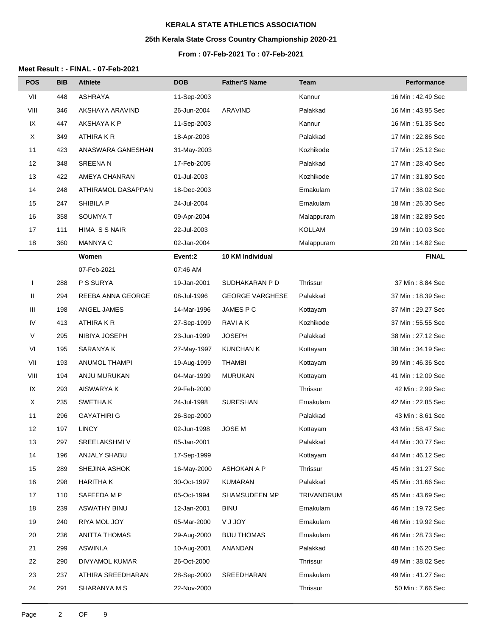# **25th Kerala State Cross Country Championship 2020-21**

#### **From : 07-Feb-2021 To : 07-Feb-2021**

| <b>POS</b>   | <b>BIB</b> | <b>Athlete</b>     | <b>DOB</b>  | <b>Father'S Name</b>   | Team          | Performance        |
|--------------|------------|--------------------|-------------|------------------------|---------------|--------------------|
| VII          | 448        | <b>ASHRAYA</b>     | 11-Sep-2003 |                        | Kannur        | 16 Min: 42.49 Sec  |
| VIII         | 346        | AKSHAYA ARAVIND    | 26-Jun-2004 | ARAVIND                | Palakkad      | 16 Min: 43.95 Sec  |
| IX           | 447        | AKSHAYA K P        | 11-Sep-2003 |                        | Kannur        | 16 Min: 51.35 Sec  |
| X            | 349        | ATHIRA K R         | 18-Apr-2003 |                        | Palakkad      | 17 Min: 22.86 Sec  |
| 11           | 423        | ANASWARA GANESHAN  | 31-May-2003 |                        | Kozhikode     | 17 Min: 25.12 Sec  |
| 12           | 348        | <b>SREENAN</b>     | 17-Feb-2005 |                        | Palakkad      | 17 Min: 28.40 Sec  |
| 13           | 422        | AMEYA CHANRAN      | 01-Jul-2003 |                        | Kozhikode     | 17 Min: 31.80 Sec  |
| 14           | 248        | ATHIRAMOL DASAPPAN | 18-Dec-2003 |                        | Ernakulam     | 17 Min: 38.02 Sec  |
| 15           | 247        | SHIBILA P          | 24-Jul-2004 |                        | Ernakulam     | 18 Min: 26.30 Sec  |
| 16           | 358        | SOUMYA T           | 09-Apr-2004 |                        | Malappuram    | 18 Min: 32.89 Sec  |
| 17           | 111        | HIMA SSNAIR        | 22-Jul-2003 |                        | <b>KOLLAM</b> | 19 Min: 10.03 Sec  |
| 18           | 360        | <b>MANNYA C</b>    | 02-Jan-2004 |                        | Malappuram    | 20 Min: 14.82 Sec  |
|              |            | Women              | Event:2     | 10 KM Individual       |               | <b>FINAL</b>       |
|              |            | 07-Feb-2021        | 07:46 AM    |                        |               |                    |
| $\mathbf{I}$ | 288        | P S SURYA          | 19-Jan-2001 | SUDHAKARAN P D         | Thrissur      | 37 Min: 8.84 Sec   |
| Ш            | 294        | REEBA ANNA GEORGE  | 08-Jul-1996 | <b>GEORGE VARGHESE</b> | Palakkad      | 37 Min: 18.39 Sec  |
| Ш            | 198        | ANGEL JAMES        | 14-Mar-1996 | JAMES P C              | Kottayam      | 37 Min: 29.27 Sec  |
| IV           | 413        | ATHIRA K R         | 27-Sep-1999 | <b>RAVI A K</b>        | Kozhikode     | 37 Min: 55.55 Sec  |
| V            | 295        | NIBIYA JOSEPH      | 23-Jun-1999 | <b>JOSEPH</b>          | Palakkad      | 38 Min: 27.12 Sec  |
| VI           | 195        | SARANYA K          | 27-May-1997 | <b>KUNCHAN K</b>       | Kottayam      | 38 Min: 34.19 Sec  |
| VII          | 193        | ANUMOL THAMPI      | 19-Aug-1999 | <b>THAMBI</b>          | Kottayam      | 39 Min: 46.36 Sec  |
| VIII         | 194        | ANJU MURUKAN       | 04-Mar-1999 | <b>MURUKAN</b>         | Kottayam      | 41 Min: 12.09 Sec  |
| IX           | 293        | AISWARYA K         | 29-Feb-2000 |                        | Thrissur      | 42 Min: 2.99 Sec   |
| X            | 235        | SWETHA.K           | 24-Jul-1998 | <b>SURESHAN</b>        | Ernakulam     | 42 Min: 22.85 Sec  |
| 11           | 296        | <b>GAYATHIRI G</b> | 26-Sep-2000 |                        | Palakkad      | 43 Min: 8.61 Sec   |
| 12           | 197        | <b>LINCY</b>       | 02-Jun-1998 | JOSE M                 | Kottayam      | 43 Min: 58.47 Sec  |
| 13           | 297        | SREELAKSHMI V      | 05-Jan-2001 |                        | Palakkad      | 44 Min: 30.77 Sec  |
| 14           | 196        | ANJALY SHABU       | 17-Sep-1999 |                        | Kottayam      | 44 Min: 46.12 Sec  |
| 15           | 289        | SHEJINA ASHOK      | 16-May-2000 | ASHOKAN A P            | Thrissur      | 45 Min: 31.27 Sec  |
| 16           | 298        | <b>HARITHA K</b>   | 30-Oct-1997 | KUMARAN                | Palakkad      | 45 Min: 31.66 Sec  |
| 17           | 110        | SAFEEDA M P        | 05-Oct-1994 | SHAMSUDEEN MP          | TRIVANDRUM    | 45 Min : 43.69 Sec |
| 18           | 239        | ASWATHY BINU       | 12-Jan-2001 | <b>BINU</b>            | Ernakulam     | 46 Min: 19.72 Sec  |
| 19           | 240        | RIYA MOL JOY       | 05-Mar-2000 | <b>YUJOY</b>           | Ernakulam     | 46 Min: 19.92 Sec  |
| 20           | 236        | ANITTA THOMAS      | 29-Aug-2000 | <b>BIJU THOMAS</b>     | Ernakulam     | 46 Min: 28.73 Sec  |
| 21           | 299        | ASWINI.A           | 10-Aug-2001 | ANANDAN                | Palakkad      | 48 Min: 16.20 Sec  |
| 22           | 290        | DIVYAMOL KUMAR     | 26-Oct-2000 |                        | Thrissur      | 49 Min: 38.02 Sec  |
| 23           | 237        | ATHIRA SREEDHARAN  | 28-Sep-2000 | SREEDHARAN             | Ernakulam     | 49 Min: 41.27 Sec  |
| 24           | 291        | SHARANYA M S       | 22-Nov-2000 |                        | Thrissur      | 50 Min: 7.66 Sec   |
|              |            |                    |             |                        |               |                    |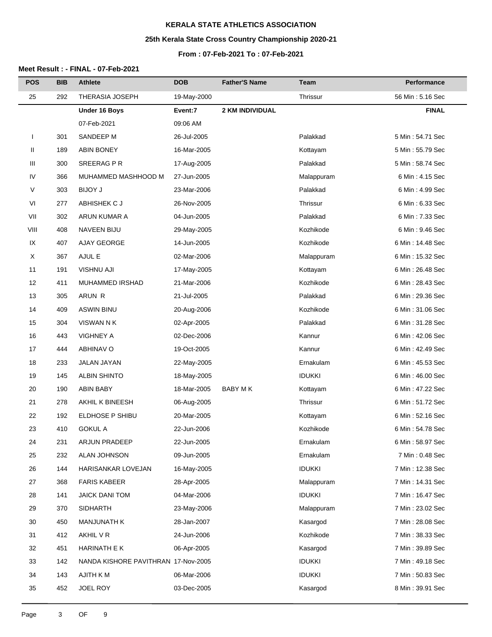# **25th Kerala State Cross Country Championship 2020-21**

## **From : 07-Feb-2021 To : 07-Feb-2021**

| <b>POS</b>   | <b>BIB</b> | <b>Athlete</b>                      | <b>DOB</b>  | <b>Father'S Name</b> | <b>Team</b>   | Performance      |
|--------------|------------|-------------------------------------|-------------|----------------------|---------------|------------------|
| 25           | 292        | THERASIA JOSEPH                     | 19-May-2000 |                      | Thrissur      | 56 Min: 5.16 Sec |
|              |            | <b>Under 16 Boys</b>                | Event:7     | 2 KM INDIVIDUAL      |               | <b>FINAL</b>     |
|              |            | 07-Feb-2021                         | 09:06 AM    |                      |               |                  |
| $\mathbf{I}$ | 301        | SANDEEP M                           | 26-Jul-2005 |                      | Palakkad      | 5 Min: 54.71 Sec |
| Ш            | 189        | <b>ABIN BONEY</b>                   | 16-Mar-2005 |                      | Kottayam      | 5 Min: 55.79 Sec |
| Ш            | 300        | SREERAG PR                          | 17-Aug-2005 |                      | Palakkad      | 5 Min: 58.74 Sec |
| IV           | 366        | MUHAMMED MASHHOOD M                 | 27-Jun-2005 |                      | Malappuram    | 6 Min: 4.15 Sec  |
| $\vee$       | 303        | <b>BIJOY J</b>                      | 23-Mar-2006 |                      | Palakkad      | 6 Min: 4.99 Sec  |
| VI           | 277        | ABHISHEK C J                        | 26-Nov-2005 |                      | Thrissur      | 6 Min: 6.33 Sec  |
| VII          | 302        | ARUN KUMAR A                        | 04-Jun-2005 |                      | Palakkad      | 6 Min: 7.33 Sec  |
| VIII         | 408        | <b>NAVEEN BIJU</b>                  | 29-May-2005 |                      | Kozhikode     | 6 Min: 9.46 Sec  |
| IX           | 407        | AJAY GEORGE                         | 14-Jun-2005 |                      | Kozhikode     | 6 Min: 14.48 Sec |
| X            | 367        | AJUL E                              | 02-Mar-2006 |                      | Malappuram    | 6 Min: 15.32 Sec |
| 11           | 191        | <b>VISHNU AJI</b>                   | 17-May-2005 |                      | Kottayam      | 6 Min: 26.48 Sec |
| 12           | 411        | MUHAMMED IRSHAD                     | 21-Mar-2006 |                      | Kozhikode     | 6 Min: 28.43 Sec |
| 13           | 305        | ARUN R                              | 21-Jul-2005 |                      | Palakkad      | 6 Min: 29.36 Sec |
| 14           | 409        | <b>ASWIN BINU</b>                   | 20-Aug-2006 |                      | Kozhikode     | 6 Min: 31.06 Sec |
| 15           | 304        | <b>VISWAN N K</b>                   | 02-Apr-2005 |                      | Palakkad      | 6 Min: 31.28 Sec |
| 16           | 443        | <b>VIGHNEY A</b>                    | 02-Dec-2006 |                      | Kannur        | 6 Min: 42.06 Sec |
| 17           | 444        | <b>ABHINAV O</b>                    | 19-Oct-2005 |                      | Kannur        | 6 Min: 42.49 Sec |
| 18           | 233        | JALAN JAYAN                         | 22-May-2005 |                      | Ernakulam     | 6 Min: 45.53 Sec |
| 19           | 145        | <b>ALBIN SHINTO</b>                 | 18-May-2005 |                      | <b>IDUKKI</b> | 6 Min: 46.00 Sec |
| 20           | 190        | <b>ABIN BABY</b>                    | 18-Mar-2005 | <b>BABY MK</b>       | Kottayam      | 6 Min: 47.22 Sec |
| 21           | 278        | AKHIL K BINEESH                     | 06-Aug-2005 |                      | Thrissur      | 6 Min: 51.72 Sec |
| 22           | 192        | ELDHOSE P SHIBU                     | 20-Mar-2005 |                      | Kottayam      | 6 Min: 52.16 Sec |
| 23           | 410        | <b>GOKUL A</b>                      | 22-Jun-2006 |                      | Kozhikode     | 6 Min: 54.78 Sec |
| 24           | 231        | <b>ARJUN PRADEEP</b>                | 22-Jun-2005 |                      | Ernakulam     | 6 Min: 58.97 Sec |
| 25           | 232        | ALAN JOHNSON                        | 09-Jun-2005 |                      | Ernakulam     | 7 Min: 0.48 Sec  |
| 26           | 144        | HARISANKAR LOVEJAN                  | 16-May-2005 |                      | <b>IDUKKI</b> | 7 Min: 12.38 Sec |
| 27           | 368        | <b>FARIS KABEER</b>                 | 28-Apr-2005 |                      | Malappuram    | 7 Min: 14.31 Sec |
| 28           | 141        | <b>JAICK DANI TOM</b>               | 04-Mar-2006 |                      | <b>IDUKKI</b> | 7 Min: 16.47 Sec |
| 29           | 370        | <b>SIDHARTH</b>                     | 23-May-2006 |                      | Malappuram    | 7 Min: 23.02 Sec |
| 30           | 450        | <b>MANJUNATH K</b>                  | 28-Jan-2007 |                      | Kasargod      | 7 Min: 28.08 Sec |
| 31           | 412        | AKHIL V R                           | 24-Jun-2006 |                      | Kozhikode     | 7 Min: 38.33 Sec |
| 32           | 451        | HARINATH E K                        | 06-Apr-2005 |                      | Kasargod      | 7 Min: 39.89 Sec |
| 33           | 142        | NANDA KISHORE PAVITHRAN 17-Nov-2005 |             |                      | <b>IDUKKI</b> | 7 Min: 49.18 Sec |
| 34           | 143        | AJITH K M                           | 06-Mar-2006 |                      | <b>IDUKKI</b> | 7 Min: 50.83 Sec |
| 35           | 452        | JOEL ROY                            | 03-Dec-2005 |                      | Kasargod      | 8 Min: 39.91 Sec |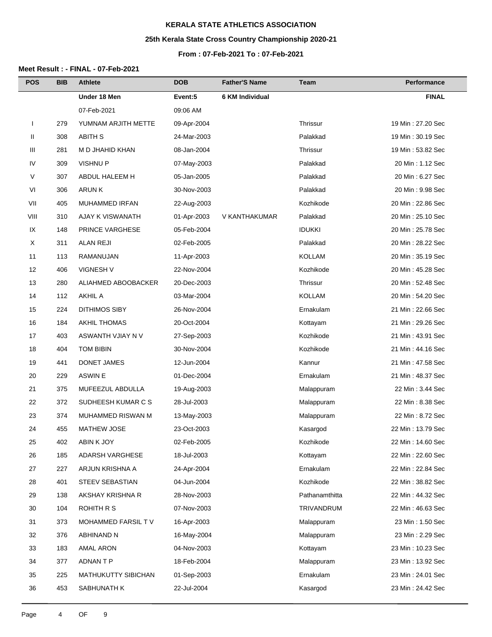# **25th Kerala State Cross Country Championship 2020-21**

## **From : 07-Feb-2021 To : 07-Feb-2021**

| <b>POS</b> | <b>BIB</b> | <b>Athlete</b>         | <b>DOB</b>  | <b>Father'S Name</b>   | Team           | Performance       |
|------------|------------|------------------------|-------------|------------------------|----------------|-------------------|
|            |            | Under 18 Men           | Event:5     | <b>6 KM Individual</b> |                | <b>FINAL</b>      |
|            |            | 07-Feb-2021            | 09:06 AM    |                        |                |                   |
| J.         | 279        | YUMNAM ARJITH METTE    | 09-Apr-2004 |                        | Thrissur       | 19 Min: 27.20 Sec |
| Ш          | 308        | ABITH S                | 24-Mar-2003 |                        | Palakkad       | 19 Min: 30.19 Sec |
| Ш          | 281        | M D JHAHID KHAN        | 08-Jan-2004 |                        | Thrissur       | 19 Min: 53.82 Sec |
| IV         | 309        | <b>VISHNUP</b>         | 07-May-2003 |                        | Palakkad       | 20 Min: 1.12 Sec  |
| V          | 307        | ABDUL HALEEM H         | 05-Jan-2005 |                        | Palakkad       | 20 Min: 6.27 Sec  |
| VI         | 306        | <b>ARUNK</b>           | 30-Nov-2003 |                        | Palakkad       | 20 Min: 9.98 Sec  |
| VII        | 405        | <b>MUHAMMED IRFAN</b>  | 22-Aug-2003 |                        | Kozhikode      | 20 Min: 22.86 Sec |
| VIII       | 310        | AJAY K VISWANATH       | 01-Apr-2003 | V KANTHAKUMAR          | Palakkad       | 20 Min: 25.10 Sec |
| IX         | 148        | PRINCE VARGHESE        | 05-Feb-2004 |                        | <b>IDUKKI</b>  | 20 Min: 25.78 Sec |
| X          | 311        | <b>ALAN REJI</b>       | 02-Feb-2005 |                        | Palakkad       | 20 Min: 28.22 Sec |
| 11         | 113        | RAMANUJAN              | 11-Apr-2003 |                        | <b>KOLLAM</b>  | 20 Min: 35.19 Sec |
| 12         | 406        | VIGNESH V              | 22-Nov-2004 |                        | Kozhikode      | 20 Min: 45.28 Sec |
| 13         | 280        | ALIAHMED ABOOBACKER    | 20-Dec-2003 |                        | Thrissur       | 20 Min: 52.48 Sec |
| 14         | 112        | <b>AKHIL A</b>         | 03-Mar-2004 |                        | <b>KOLLAM</b>  | 20 Min: 54.20 Sec |
| 15         | 224        | <b>DITHIMOS SIBY</b>   | 26-Nov-2004 |                        | Ernakulam      | 21 Min: 22.66 Sec |
| 16         | 184        | <b>AKHIL THOMAS</b>    | 20-Oct-2004 |                        | Kottayam       | 21 Min: 29.26 Sec |
| 17         | 403        | ASWANTH VJIAY N V      | 27-Sep-2003 |                        | Kozhikode      | 21 Min: 43.91 Sec |
| 18         | 404        | <b>TOM BIBIN</b>       | 30-Nov-2004 |                        | Kozhikode      | 21 Min: 44.16 Sec |
| 19         | 441        | DONET JAMES            | 12-Jun-2004 |                        | Kannur         | 21 Min: 47.58 Sec |
| 20         | 229        | ASWIN E                | 01-Dec-2004 |                        | Ernakulam      | 21 Min: 48.37 Sec |
| 21         | 375        | MUFEEZUL ABDULLA       | 19-Aug-2003 |                        | Malappuram     | 22 Min: 3.44 Sec  |
| 22         | 372        | SUDHEESH KUMAR C S     | 28-Jul-2003 |                        | Malappuram     | 22 Min: 8.38 Sec  |
| 23         | 374        | MUHAMMED RISWAN M      | 13-May-2003 |                        | Malappuram     | 22 Min: 8.72 Sec  |
| 24         | 455        | <b>MATHEW JOSE</b>     | 23-Oct-2003 |                        | Kasargod       | 22 Min: 13.79 Sec |
| 25         | 402        | ABIN K JOY             | 02-Feb-2005 |                        | Kozhikode      | 22 Min: 14.60 Sec |
| 26         | 185        | ADARSH VARGHESE        | 18-Jul-2003 |                        | Kottayam       | 22 Min: 22.60 Sec |
| 27         | 227        | ARJUN KRISHNA A        | 24-Apr-2004 |                        | Ernakulam      | 22 Min: 22.84 Sec |
| 28         | 401        | <b>STEEV SEBASTIAN</b> | 04-Jun-2004 |                        | Kozhikode      | 22 Min: 38.82 Sec |
| 29         | 138        | AKSHAY KRISHNA R       | 28-Nov-2003 |                        | Pathanamthitta | 22 Min: 44.32 Sec |
| 30         | 104        | ROHITH R S             | 07-Nov-2003 |                        | TRIVANDRUM     | 22 Min: 46.63 Sec |
| 31         | 373        | MOHAMMED FARSIL TV     | 16-Apr-2003 |                        | Malappuram     | 23 Min: 1.50 Sec  |
| 32         | 376        | ABHINAND N             | 16-May-2004 |                        | Malappuram     | 23 Min: 2.29 Sec  |
| 33         | 183        | <b>AMAL ARON</b>       | 04-Nov-2003 |                        | Kottayam       | 23 Min: 10.23 Sec |
| 34         | 377        | ADNAN T P              | 18-Feb-2004 |                        | Malappuram     | 23 Min: 13.92 Sec |
| 35         | 225        | MATHUKUTTY SIBICHAN    | 01-Sep-2003 |                        | Ernakulam      | 23 Min: 24.01 Sec |
| 36         | 453        | SABHUNATH K            | 22-Jul-2004 |                        | Kasargod       | 23 Min: 24.42 Sec |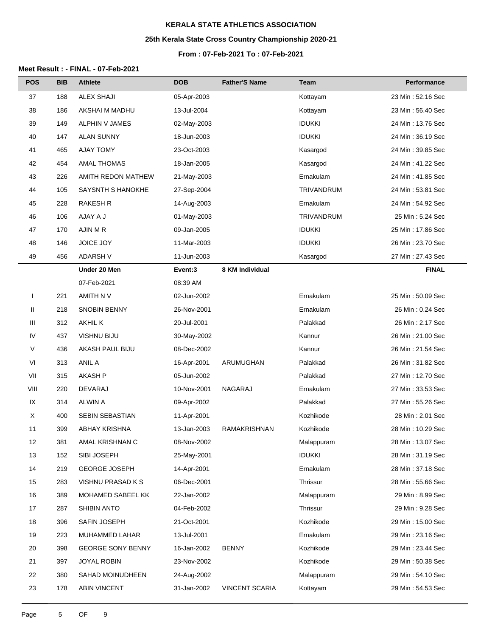# **25th Kerala State Cross Country Championship 2020-21**

### **From : 07-Feb-2021 To : 07-Feb-2021**

| <b>POS</b>    | <b>BIB</b> | <b>Athlete</b>           | <b>DOB</b>  | <b>Father'S Name</b>  | <b>Team</b>       | Performance        |
|---------------|------------|--------------------------|-------------|-----------------------|-------------------|--------------------|
| 37            | 188        | <b>ALEX SHAJI</b>        | 05-Apr-2003 |                       | Kottayam          | 23 Min: 52.16 Sec  |
| 38            | 186        | AKSHAI M MADHU           | 13-Jul-2004 |                       | Kottayam          | 23 Min: 56.40 Sec  |
| 39            | 149        | ALPHIN V JAMES           | 02-May-2003 |                       | <b>IDUKKI</b>     | 24 Min: 13.76 Sec  |
| 40            | 147        | <b>ALAN SUNNY</b>        | 18-Jun-2003 |                       | <b>IDUKKI</b>     | 24 Min: 36.19 Sec  |
| 41            | 465        | <b>AJAY TOMY</b>         | 23-Oct-2003 |                       | Kasargod          | 24 Min: 39.85 Sec  |
| 42            | 454        | <b>AMAL THOMAS</b>       | 18-Jan-2005 |                       | Kasargod          | 24 Min: 41.22 Sec  |
| 43            | 226        | AMITH REDON MATHEW       | 21-May-2003 |                       | Ernakulam         | 24 Min: 41.85 Sec  |
| 44            | 105        | SAYSNTH S HANOKHE        | 27-Sep-2004 |                       | <b>TRIVANDRUM</b> | 24 Min: 53.81 Sec  |
| 45            | 228        | <b>RAKESH R</b>          | 14-Aug-2003 |                       | Ernakulam         | 24 Min: 54.92 Sec  |
| 46            | 106        | AJAY A J                 | 01-May-2003 |                       | TRIVANDRUM        | 25 Min: 5.24 Sec   |
| 47            | 170        | AJIN M R                 | 09-Jan-2005 |                       | <b>IDUKKI</b>     | 25 Min: 17.86 Sec  |
| 48            | 146        | JOICE JOY                | 11-Mar-2003 |                       | <b>IDUKKI</b>     | 26 Min: 23.70 Sec  |
| 49            | 456        | <b>ADARSH V</b>          | 11-Jun-2003 |                       | Kasargod          | 27 Min: 27.43 Sec  |
|               |            | Under 20 Men             | Event:3     | 8 KM Individual       |                   | <b>FINAL</b>       |
|               |            | 07-Feb-2021              | 08:39 AM    |                       |                   |                    |
| I             | 221        | AMITH N V                | 02-Jun-2002 |                       | Ernakulam         | 25 Min: 50.09 Sec  |
| Ш             | 218        | <b>SNOBIN BENNY</b>      | 26-Nov-2001 |                       | Ernakulam         | 26 Min: 0.24 Sec   |
| Ш             | 312        | <b>AKHIL K</b>           | 20-Jul-2001 |                       | Palakkad          | 26 Min: 2.17 Sec   |
| IV            | 437        | VISHNU BIJU              | 30-May-2002 |                       | Kannur            | 26 Min: 21.00 Sec  |
| V             | 436        | AKASH PAUL BIJU          | 08-Dec-2002 |                       | Kannur            | 26 Min: 21.54 Sec  |
| $\mathsf{VI}$ | 313        | ANIL A                   | 16-Apr-2001 | ARUMUGHAN             | Palakkad          | 26 Min: 31.82 Sec  |
| VII           | 315        | <b>AKASH P</b>           | 05-Jun-2002 |                       | Palakkad          | 27 Min: 12.70 Sec  |
| VIII          | 220        | DEVARAJ                  | 10-Nov-2001 | NAGARAJ               | Ernakulam         | 27 Min: 33.53 Sec  |
| IX            | 314        | <b>ALWIN A</b>           | 09-Apr-2002 |                       | Palakkad          | 27 Min: 55.26 Sec  |
| Χ             | 400        | SEBIN SEBASTIAN          | 11-Apr-2001 |                       | Kozhikode         | 28 Min: 2.01 Sec   |
| 11            | 399        | ABHAY KRISHNA            | 13-Jan-2003 | <b>RAMAKRISHNAN</b>   | Kozhikode         | 28 Min: 10.29 Sec  |
| 12            | 381        | AMAL KRISHNAN C          | 08-Nov-2002 |                       | Malappuram        | 28 Min: 13.07 Sec  |
| 13            | 152        | SIBI JOSEPH              | 25-May-2001 |                       | <b>IDUKKI</b>     | 28 Min: 31.19 Sec  |
| 14            | 219        | <b>GEORGE JOSEPH</b>     | 14-Apr-2001 |                       | Ernakulam         | 28 Min: 37.18 Sec  |
| 15            | 283        | VISHNU PRASAD K S        | 06-Dec-2001 |                       | Thrissur          | 28 Min: 55.66 Sec  |
| 16            | 389        | MOHAMED SABEEL KK        | 22-Jan-2002 |                       | Malappuram        | 29 Min: 8.99 Sec   |
| 17            | 287        | SHIBIN ANTO              | 04-Feb-2002 |                       | Thrissur          | 29 Min: 9.28 Sec   |
| 18            | 396        | SAFIN JOSEPH             | 21-Oct-2001 |                       | Kozhikode         | 29 Min: 15.00 Sec  |
| 19            | 223        | MUHAMMED LAHAR           | 13-Jul-2001 |                       | Ernakulam         | 29 Min: 23.16 Sec  |
| 20            | 398        | <b>GEORGE SONY BENNY</b> | 16-Jan-2002 | <b>BENNY</b>          | Kozhikode         | 29 Min: 23.44 Sec  |
| 21            | 397        | JOYAL ROBIN              | 23-Nov-2002 |                       | Kozhikode         | 29 Min: 50.38 Sec  |
| 22            | 380        | SAHAD MOINUDHEEN         | 24-Aug-2002 |                       | Malappuram        | 29 Min: 54.10 Sec  |
| 23            | 178        | ABIN VINCENT             | 31-Jan-2002 | <b>VINCENT SCARIA</b> | Kottayam          | 29 Min : 54.53 Sec |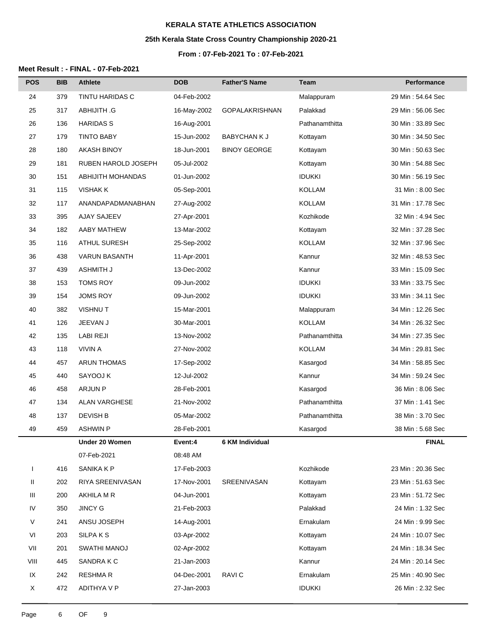# **25th Kerala State Cross Country Championship 2020-21**

### **From : 07-Feb-2021 To : 07-Feb-2021**

| <b>POS</b>   | <b>BIB</b> | <b>Athlete</b>         | <b>DOB</b>  | <b>Father'S Name</b>  | Team           | Performance       |
|--------------|------------|------------------------|-------------|-----------------------|----------------|-------------------|
| 24           | 379        | <b>TINTU HARIDAS C</b> | 04-Feb-2002 |                       | Malappuram     | 29 Min: 54.64 Sec |
| 25           | 317        | <b>ABHIJITH .G</b>     | 16-May-2002 | <b>GOPALAKRISHNAN</b> | Palakkad       | 29 Min: 56.06 Sec |
| 26           | 136        | <b>HARIDAS S</b>       | 16-Aug-2001 |                       | Pathanamthitta | 30 Min: 33.89 Sec |
| 27           | 179        | <b>TINTO BABY</b>      | 15-Jun-2002 | <b>BABYCHAN K J</b>   | Kottayam       | 30 Min: 34.50 Sec |
| 28           | 180        | <b>AKASH BINOY</b>     | 18-Jun-2001 | <b>BINOY GEORGE</b>   | Kottayam       | 30 Min: 50.63 Sec |
| 29           | 181        | RUBEN HAROLD JOSEPH    | 05-Jul-2002 |                       | Kottayam       | 30 Min: 54.88 Sec |
| 30           | 151        | ABHIJITH MOHANDAS      | 01-Jun-2002 |                       | <b>IDUKKI</b>  | 30 Min: 56.19 Sec |
| 31           | 115        | <b>VISHAK K</b>        | 05-Sep-2001 |                       | <b>KOLLAM</b>  | 31 Min: 8.00 Sec  |
| 32           | 117        | ANANDAPADMANABHAN      | 27-Aug-2002 |                       | <b>KOLLAM</b>  | 31 Min: 17.78 Sec |
| 33           | 395        | AJAY SAJEEV            | 27-Apr-2001 |                       | Kozhikode      | 32 Min: 4.94 Sec  |
| 34           | 182        | AABY MATHEW            | 13-Mar-2002 |                       | Kottayam       | 32 Min: 37.28 Sec |
| 35           | 116        | <b>ATHUL SURESH</b>    | 25-Sep-2002 |                       | KOLLAM         | 32 Min: 37.96 Sec |
| 36           | 438        | <b>VARUN BASANTH</b>   | 11-Apr-2001 |                       | Kannur         | 32 Min: 48.53 Sec |
| 37           | 439        | <b>ASHMITH J</b>       | 13-Dec-2002 |                       | Kannur         | 33 Min: 15.09 Sec |
| 38           | 153        | <b>TOMS ROY</b>        | 09-Jun-2002 |                       | <b>IDUKKI</b>  | 33 Min: 33.75 Sec |
| 39           | 154        | <b>JOMS ROY</b>        | 09-Jun-2002 |                       | <b>IDUKKI</b>  | 33 Min: 34.11 Sec |
| 40           | 382        | <b>VISHNUT</b>         | 15-Mar-2001 |                       | Malappuram     | 34 Min: 12.26 Sec |
| 41           | 126        | JEEVAN J               | 30-Mar-2001 |                       | KOLLAM         | 34 Min: 26.32 Sec |
| 42           | 135        | <b>LABI REJI</b>       | 13-Nov-2002 |                       | Pathanamthitta | 34 Min: 27.35 Sec |
| 43           | 118        | <b>VIVIN A</b>         | 27-Nov-2002 |                       | KOLLAM         | 34 Min: 29.81 Sec |
| 44           | 457        | <b>ARUN THOMAS</b>     | 17-Sep-2002 |                       | Kasargod       | 34 Min: 58.85 Sec |
| 45           | 440        | SAYOOJ K               | 12-Jul-2002 |                       | Kannur         | 34 Min: 59.24 Sec |
| 46           | 458        | <b>ARJUN P</b>         | 28-Feb-2001 |                       | Kasargod       | 36 Min: 8.06 Sec  |
| 47           | 134        | <b>ALAN VARGHESE</b>   | 21-Nov-2002 |                       | Pathanamthitta | 37 Min: 1.41 Sec  |
| 48           | 137        | <b>DEVISH B</b>        | 05-Mar-2002 |                       | Pathanamthitta | 38 Min: 3.70 Sec  |
| 49           | 459        | <b>ASHWIN P</b>        | 28-Feb-2001 |                       | Kasargod       | 38 Min: 5.68 Sec  |
|              |            | Under 20 Women         | Event:4     | 6 KM Individual       |                | <b>FINAL</b>      |
|              |            | 07-Feb-2021            | 08:48 AM    |                       |                |                   |
| $\mathbf{I}$ | 416        | SANIKA K P             | 17-Feb-2003 |                       | Kozhikode      | 23 Min: 20.36 Sec |
| Ш            | 202        | RIYA SREENIVASAN       | 17-Nov-2001 | SREENIVASAN           | Kottayam       | 23 Min: 51.63 Sec |
| Ш            | 200        | AKHILA M R             | 04-Jun-2001 |                       | Kottayam       | 23 Min: 51.72 Sec |
| IV           | 350        | <b>JINCY G</b>         | 21-Feb-2003 |                       | Palakkad       | 24 Min : 1.32 Sec |
| V            | 241        | ANSU JOSEPH            | 14-Aug-2001 |                       | Ernakulam      | 24 Min: 9.99 Sec  |
| VI           | 203        | SILPA K S              | 03-Apr-2002 |                       | Kottayam       | 24 Min: 10.07 Sec |
| VII          | 201        | SWATHI MANOJ           | 02-Apr-2002 |                       | Kottayam       | 24 Min: 18.34 Sec |
| VIII         | 445        | SANDRA K C             | 21-Jan-2003 |                       | Kannur         | 24 Min: 20.14 Sec |
| IX           | 242        | <b>RESHMAR</b>         | 04-Dec-2001 | RAVI C                | Ernakulam      | 25 Min: 40.90 Sec |
| X            | 472        | ADITHYA V P            | 27-Jan-2003 |                       | <b>IDUKKI</b>  | 26 Min: 2.32 Sec  |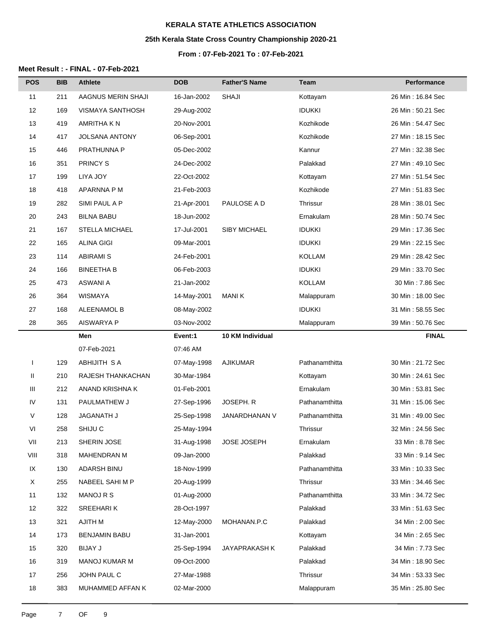# **25th Kerala State Cross Country Championship 2020-21**

### **From : 07-Feb-2021 To : 07-Feb-2021**

| <b>POS</b> | <b>BIB</b> | <b>Athlete</b>          | <b>DOB</b>  | <b>Father'S Name</b> | Team           | Performance        |
|------------|------------|-------------------------|-------------|----------------------|----------------|--------------------|
| 11         | 211        | AAGNUS MERIN SHAJI      | 16-Jan-2002 | <b>SHAJI</b>         | Kottayam       | 26 Min: 16.84 Sec  |
| 12         | 169        | <b>VISMAYA SANTHOSH</b> | 29-Aug-2002 |                      | <b>IDUKKI</b>  | 26 Min: 50.21 Sec  |
| 13         | 419        | AMRITHA K N             | 20-Nov-2001 |                      | Kozhikode      | 26 Min: 54.47 Sec  |
| 14         | 417        | <b>JOLSANA ANTONY</b>   | 06-Sep-2001 |                      | Kozhikode      | 27 Min: 18.15 Sec  |
| 15         | 446        | PRATHUNNA P             | 05-Dec-2002 |                      | Kannur         | 27 Min: 32.38 Sec  |
| 16         | 351        | PRINCY S                | 24-Dec-2002 |                      | Palakkad       | 27 Min: 49.10 Sec  |
| 17         | 199        | LIYA JOY                | 22-Oct-2002 |                      | Kottayam       | 27 Min: 51.54 Sec  |
| 18         | 418        | APARNNA P M             | 21-Feb-2003 |                      | Kozhikode      | 27 Min: 51.83 Sec  |
| 19         | 282        | SIMI PAUL A P           | 21-Apr-2001 | PAULOSE A D          | Thrissur       | 28 Min: 38.01 Sec  |
| 20         | 243        | <b>BILNA BABU</b>       | 18-Jun-2002 |                      | Ernakulam      | 28 Min: 50.74 Sec  |
| 21         | 167        | <b>STELLA MICHAEL</b>   | 17-Jul-2001 | <b>SIBY MICHAEL</b>  | <b>IDUKKI</b>  | 29 Min: 17.36 Sec  |
| 22         | 165        | <b>ALINA GIGI</b>       | 09-Mar-2001 |                      | <b>IDUKKI</b>  | 29 Min: 22.15 Sec  |
| 23         | 114        | <b>ABIRAMI S</b>        | 24-Feb-2001 |                      | <b>KOLLAM</b>  | 29 Min: 28.42 Sec  |
| 24         | 166        | <b>BINEETHA B</b>       | 06-Feb-2003 |                      | <b>IDUKKI</b>  | 29 Min: 33.70 Sec  |
| 25         | 473        | ASWANI A                | 21-Jan-2002 |                      | <b>KOLLAM</b>  | 30 Min: 7.86 Sec   |
| 26         | 364        | <b>WISMAYA</b>          | 14-May-2001 | <b>MANIK</b>         | Malappuram     | 30 Min: 18.00 Sec  |
| 27         | 168        | ALEENAMOL B             | 08-May-2002 |                      | <b>IDUKKI</b>  | 31 Min: 58.55 Sec  |
| 28         | 365        | AISWARYA P              | 03-Nov-2002 |                      | Malappuram     | 39 Min: 50.76 Sec  |
|            |            | Men                     | Event:1     | 10 KM Individual     |                | <b>FINAL</b>       |
|            |            | 07-Feb-2021             | 07:46 AM    |                      |                |                    |
|            | 129        | <b>ABHIJITH SA</b>      | 07-May-1998 | <b>AJIKUMAR</b>      | Pathanamthitta | 30 Min: 21.72 Sec  |
| Ш          | 210        | RAJESH THANKACHAN       | 30-Mar-1984 |                      | Kottayam       | 30 Min: 24.61 Sec  |
| Ш          | 212        | ANAND KRISHNA K         | 01-Feb-2001 |                      | Ernakulam      | 30 Min: 53.81 Sec  |
| IV         | 131        | PAULMATHEW J            | 27-Sep-1996 | JOSEPH. R            | Pathanamthitta | 31 Min: 15.06 Sec  |
| V          | 128        | JAGANATH J              | 25-Sep-1998 | JANARDHANAN V        | Pathanamthitta | 31 Min: 49.00 Sec  |
| VI         | 258        | SHIJU C                 | 25-May-1994 |                      | Thrissur       | 32 Min: 24.56 Sec  |
| VII        | 213        | SHERIN JOSE             | 31-Aug-1998 | JOSE JOSEPH          | Ernakulam      | 33 Min: 8.78 Sec   |
| VIII       | 318        | <b>MAHENDRAN M</b>      | 09-Jan-2000 |                      | Palakkad       | 33 Min: 9.14 Sec   |
| IX         | 130        | <b>ADARSH BINU</b>      | 18-Nov-1999 |                      | Pathanamthitta | 33 Min: 10.33 Sec  |
| X          | 255        | NABEEL SAHI M P         | 20-Aug-1999 |                      | Thrissur       | 33 Min : 34.46 Sec |
| 11         | 132        | <b>MANOJ R S</b>        | 01-Aug-2000 |                      | Pathanamthitta | 33 Min: 34.72 Sec  |
| 12         | 322        | SREEHARIK               | 28-Oct-1997 |                      | Palakkad       | 33 Min: 51.63 Sec  |
| 13         | 321        | <b>AJITH M</b>          | 12-May-2000 | MOHANAN.P.C          | Palakkad       | 34 Min: 2.00 Sec   |
| 14         | 173        | <b>BENJAMIN BABU</b>    | 31-Jan-2001 |                      | Kottayam       | 34 Min: 2.65 Sec   |
| 15         | 320        | <b>BIJAY J</b>          | 25-Sep-1994 | JAYAPRAKASH K        | Palakkad       | 34 Min: 7.73 Sec   |
| 16         | 319        | <b>MANOJ KUMAR M</b>    | 09-Oct-2000 |                      | Palakkad       | 34 Min: 18.90 Sec  |
| 17         | 256        | JOHN PAUL C             | 27-Mar-1988 |                      | Thrissur       | 34 Min: 53.33 Sec  |
| 18         | 383        | MUHAMMED AFFAN K        | 02-Mar-2000 |                      | Malappuram     | 35 Min: 25.80 Sec  |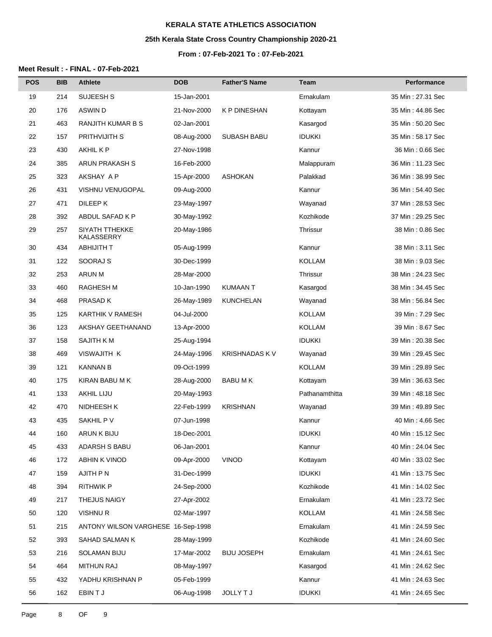# **25th Kerala State Cross Country Championship 2020-21**

#### **From : 07-Feb-2021 To : 07-Feb-2021**

| <b>POS</b> | <b>BIB</b> | <b>Athlete</b>                     | <b>DOB</b>  | <b>Father'S Name</b>  | Team            | Performance        |
|------------|------------|------------------------------------|-------------|-----------------------|-----------------|--------------------|
| 19         | 214        | SUJEESH S                          | 15-Jan-2001 |                       | Ernakulam       | 35 Min : 27.31 Sec |
| 20         | 176        | ASWIN D                            | 21-Nov-2000 | <b>K P DINESHAN</b>   | Kottayam        | 35 Min: 44.86 Sec  |
| 21         | 463        | <b>RANJITH KUMAR B S</b>           | 02-Jan-2001 |                       | Kasargod        | 35 Min: 50.20 Sec  |
| 22         | 157        | PRITHVIJITH S                      | 08-Aug-2000 | <b>SUBASH BABU</b>    | <b>IDUKKI</b>   | 35 Min : 58.17 Sec |
| 23         | 430        | AKHIL K P                          | 27-Nov-1998 |                       | Kannur          | 36 Min: 0.66 Sec   |
| 24         | 385        | ARUN PRAKASH S                     | 16-Feb-2000 |                       | Malappuram      | 36 Min: 11.23 Sec  |
| 25         | 323        | AKSHAY A P                         | 15-Apr-2000 | <b>ASHOKAN</b>        | Palakkad        | 36 Min : 38.99 Sec |
| 26         | 431        | VISHNU VENUGOPAL                   | 09-Aug-2000 |                       | Kannur          | 36 Min: 54.40 Sec  |
| 27         | 471        | DILEEP K                           | 23-May-1997 |                       | Wayanad         | 37 Min: 28.53 Sec  |
| 28         | 392        | ABDUL SAFAD K P                    | 30-May-1992 |                       | Kozhikode       | 37 Min: 29.25 Sec  |
| 29         | 257        | SIYATH TTHEKKE<br>KALASSERRY       | 20-May-1986 |                       | <b>Thrissur</b> | 38 Min: 0.86 Sec   |
| 30         | 434        | <b>ABHIJITH T</b>                  | 05-Aug-1999 |                       | Kannur          | 38 Min: 3.11 Sec   |
| 31         | 122        | SOORAJ S                           | 30-Dec-1999 |                       | KOLLAM          | 38 Min: 9.03 Sec   |
| 32         | 253        | <b>ARUN M</b>                      | 28-Mar-2000 |                       | Thrissur        | 38 Min: 24.23 Sec  |
| 33         | 460        | <b>RAGHESH M</b>                   | 10-Jan-1990 | <b>KUMAAN T</b>       | Kasargod        | 38 Min: 34.45 Sec  |
| 34         | 468        | <b>PRASAD K</b>                    | 26-May-1989 | <b>KUNCHELAN</b>      | Wayanad         | 38 Min: 56.84 Sec  |
| 35         | 125        | KARTHIK V RAMESH                   | 04-Jul-2000 |                       | KOLLAM          | 39 Min: 7.29 Sec   |
| 36         | 123        | AKSHAY GEETHANAND                  | 13-Apr-2000 |                       | KOLLAM          | 39 Min: 8.67 Sec   |
| 37         | 158        | <b>SAJITH KM</b>                   | 25-Aug-1994 |                       | <b>IDUKKI</b>   | 39 Min: 20.38 Sec  |
| 38         | 469        | VISWAJITH K                        | 24-May-1996 | <b>KRISHNADAS K V</b> | Wayanad         | 39 Min: 29.45 Sec  |
| 39         | 121        | <b>KANNAN B</b>                    | 09-Oct-1999 |                       | KOLLAM          | 39 Min: 29.89 Sec  |
| 40         | 175        | KIRAN BABU M K                     | 28-Aug-2000 | BABU M K              | Kottayam        | 39 Min: 36.63 Sec  |
| 41         | 133        | <b>AKHIL LIJU</b>                  | 20-May-1993 |                       | Pathanamthitta  | 39 Min: 48.18 Sec  |
| 42         | 470        | NIDHEESH K                         | 22-Feb-1999 | <b>KRISHNAN</b>       | Wayanad         | 39 Min: 49.89 Sec  |
| 43         | 435        | SAKHIL P V                         | 07-Jun-1998 |                       | Kannur          | 40 Min: 4.66 Sec   |
| 44         | 160        | ARUN K BIJU                        | 18-Dec-2001 |                       | <b>IDUKKI</b>   | 40 Min : 15.12 Sec |
| 45         | 433        | ADARSH S BABU                      | 06-Jan-2001 |                       | Kannur          | 40 Min: 24.04 Sec  |
| 46         | 172        | ABHIN K VINOD                      | 09-Apr-2000 | <b>VINOD</b>          | Kottayam        | 40 Min: 33.02 Sec  |
| 47         | 159        | AJITH P N                          | 31-Dec-1999 |                       | <b>IDUKKI</b>   | 41 Min: 13.75 Sec  |
| 48         | 394        | <b>RITHWIK P</b>                   | 24-Sep-2000 |                       | Kozhikode       | 41 Min: 14.02 Sec  |
| 49         | 217        | THEJUS NAIGY                       | 27-Apr-2002 |                       | Ernakulam       | 41 Min: 23.72 Sec  |
| 50         | 120        | <b>VISHNUR</b>                     | 02-Mar-1997 |                       | <b>KOLLAM</b>   | 41 Min : 24.58 Sec |
| 51         | 215        | ANTONY WILSON VARGHESE 16-Sep-1998 |             |                       | Ernakulam       | 41 Min: 24.59 Sec  |
| 52         | 393        | SAHAD SALMAN K                     | 28-May-1999 |                       | Kozhikode       | 41 Min: 24.60 Sec  |
| 53         | 216        | SOLAMAN BIJU                       | 17-Mar-2002 | <b>BIJU JOSEPH</b>    | Ernakulam       | 41 Min : 24.61 Sec |
| 54         | 464        | MITHUN RAJ                         | 08-May-1997 |                       | Kasargod        | 41 Min: 24.62 Sec  |
| 55         | 432        | YADHU KRISHNAN P                   | 05-Feb-1999 |                       | Kannur          | 41 Min: 24.63 Sec  |
| 56         | 162        | EBIN T J                           | 06-Aug-1998 | JOLLY T J             | <b>IDUKKI</b>   | 41 Min: 24.65 Sec  |